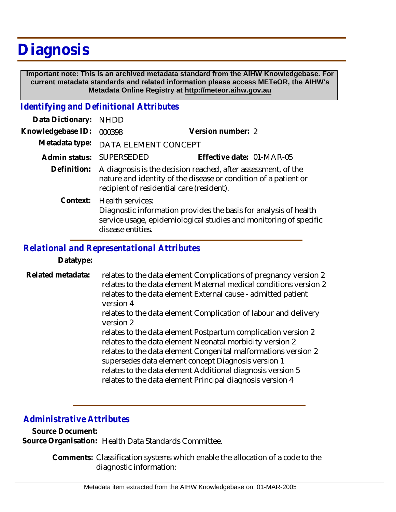# **Diagnosis**

 **Important note: This is an archived metadata standard from the AIHW Knowledgebase. For current metadata standards and related information please access METeOR, the AIHW's Metadata Online Registry at http://meteor.aihw.gov.au**

## *Identifying and Definitional Attributes*

| Data Dictionary:  | <b>NHDD</b>                                                                                                                                                                             |                           |
|-------------------|-----------------------------------------------------------------------------------------------------------------------------------------------------------------------------------------|---------------------------|
| Knowledgebase ID: | 000398                                                                                                                                                                                  | Version number: 2         |
| Metadata type:    | DATA ELEMENT CONCEPT                                                                                                                                                                    |                           |
| Admin status:     | <b>SUPERSEDED</b>                                                                                                                                                                       | Effective date: 01-MAR-05 |
| Definition:       | A diagnosis is the decision reached, after assessment, of the<br>nature and identity of the disease or condition of a patient or<br>recipient of residential care (resident).           |                           |
|                   | Context: Health services:<br>Diagnostic information provides the basis for analysis of health<br>service usage, epidemiological studies and monitoring of specific<br>disease entities. |                           |

### *Relational and Representational Attributes*

#### **Datatype:**

relates to the data element Complications of pregnancy version 2 relates to the data element Maternal medical conditions version 2 relates to the data element External cause - admitted patient version 4 relates to the data element Complication of labour and delivery version 2 relates to the data element Postpartum complication version 2 relates to the data element Neonatal morbidity version 2 relates to the data element Congenital malformations version 2 **Related metadata:**

supersedes data element concept Diagnosis version 1 relates to the data element Additional diagnosis version 5 relates to the data element Principal diagnosis version 4

## *Administrative Attributes*

**Source Document:**

**Source Organisation:** Health Data Standards Committee.

Comments: Classification systems which enable the allocation of a code to the diagnostic information: